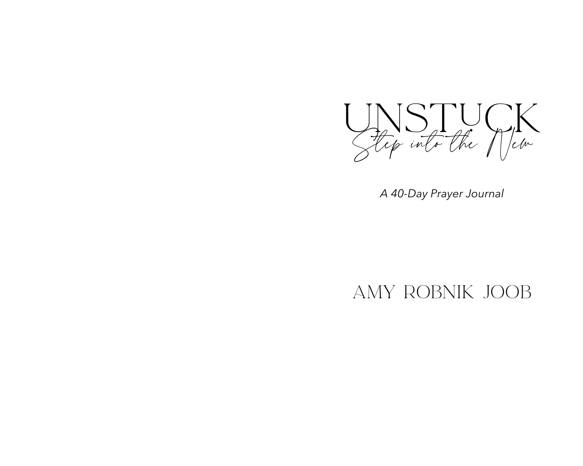

*A 40-Day Prayer Journal*

## Amy Robnik Joob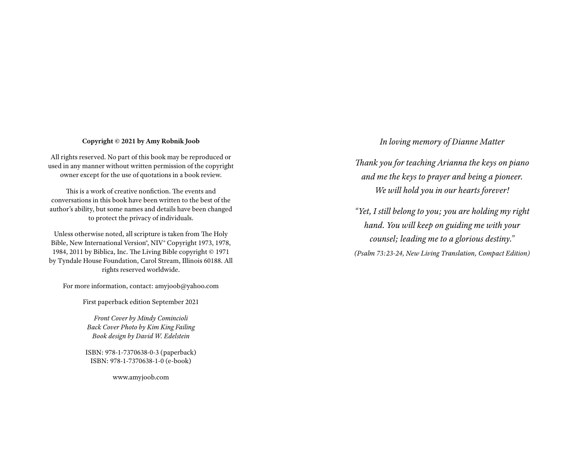### **Copyright © 2021 by Amy Robnik Joob**

All rights reserved. No part of this book may be reproduced or used in any manner without written permission of the copyright owner except for the use of quotations in a book review.

This is a work of creative nonfiction. The events and conversations in this book have been written to the best of the author's ability, but some names and details have been changed to protect the privacy of individuals.

Unless otherwise noted, all scripture is taken from The Holy Bible, New International Version®, NIV® Copyright 1973, 1978, 1984, 2011 by Biblica, Inc. The Living Bible copyright © 1971 by Tyndale House Foundation, Carol Stream, Illinois 60188. All rights reserved worldwide.

For more information, contact: amyjoob@yahoo.com

First paperback edition September 2021

*Front Cover by Mindy Comincioli Back Cover Photo by Kim King Failing Book design by David W. Edelstein*

ISBN: 978-1-7370638-0-3 (paperback) ISBN: 978-1-7370638-1-0 (e-book)

www.amyjoob.com

### *In loving memory of Dianne Matter*

*Thank you for teaching Arianna the keys on piano and me the keys to prayer and being a pioneer. We will hold you in our hearts forever!*

*"Yet, I still belong to you; you are holding my right hand. You will keep on guiding me with your counsel; leading me to a glorious destiny." (Psalm 73:23-24, New Living Translation, Compact Edition)*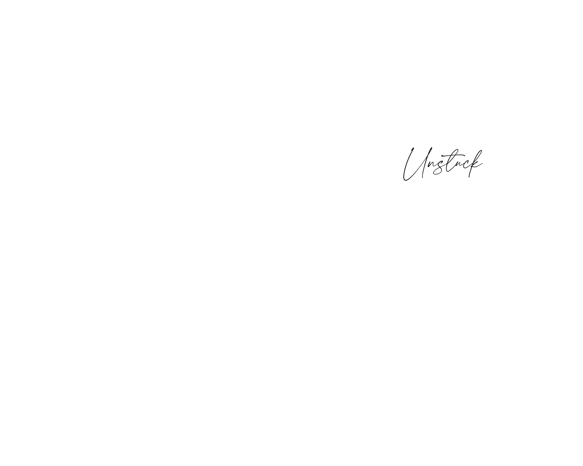Unstuck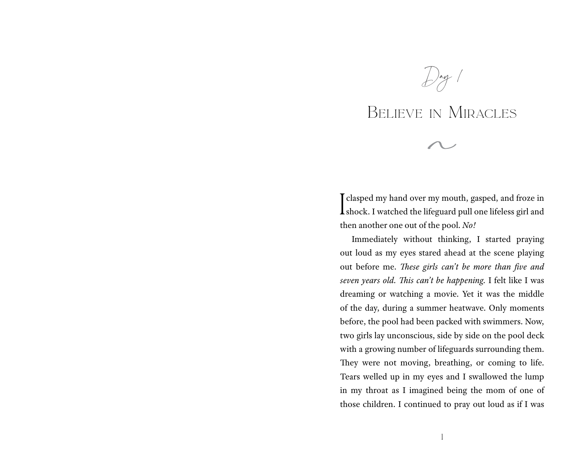$\frac{1}{2}$ ay 1

## Believe in Miracles

I clasped my hand over my mouth, gasped, and froze in shock. I watched the lifeguard pull one lifeless girl and then another one out of the pool. *No!*

Immediately without thinking, I started praying out loud as my eyes stared ahead at the scene playing out before me. *These girls can't be more than five and seven years old. This can't be happening.* I felt like I was dreaming or watching a movie. Yet it was the middle of the day, during a summer heatwave. Only moments before, the pool had been packed with swimmers. Now, two girls lay unconscious, side by side on the pool deck with a growing number of lifeguards surrounding them. They were not moving, breathing, or coming to life. Tears welled up in my eyes and I swallowed the lump in my throat as I imagined being the mom of one of those children. I continued to pray out loud as if I was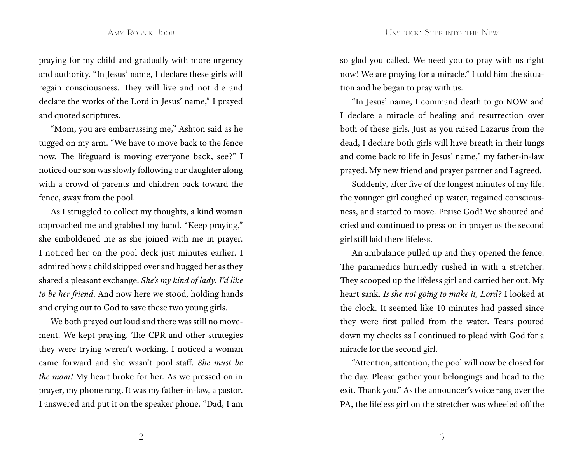praying for my child and gradually with more urgency and authority. "In Jesus' name, I declare these girls will regain consciousness. They will live and not die and declare the works of the Lord in Jesus' name," I prayed and quoted scriptures.

"Mom, you are embarrassing me," Ashton said as he tugged on my arm. "We have to move back to the fence now. The lifeguard is moving everyone back, see?" I noticed our son was slowly following our daughter along with a crowd of parents and children back toward the fence, away from the pool.

As I struggled to collect my thoughts, a kind woman approached me and grabbed my hand. "Keep praying," she emboldened me as she joined with me in prayer. I noticed her on the pool deck just minutes earlier. I admired how a child skipped over and hugged her as they shared a pleasant exchange. *She's my kind of lady. I'd like to be her friend*. And now here we stood, holding hands and crying out to God to save these two young girls.

We both prayed out loud and there was still no movement. We kept praying. The CPR and other strategies they were trying weren't working. I noticed a woman came forward and she wasn't pool staff. *She must be the mom!* My heart broke for her. As we pressed on in prayer, my phone rang. It was my father-in-law, a pastor. I answered and put it on the speaker phone. "Dad, I am so glad you called. We need you to pray with us right now! We are praying for a miracle." I told him the situation and he began to pray with us.

"In Jesus' name, I command death to go NOW and I declare a miracle of healing and resurrection over both of these girls. Just as you raised Lazarus from the dead, I declare both girls will have breath in their lungs and come back to life in Jesus' name," my father-in-law prayed. My new friend and prayer partner and I agreed.

Suddenly, after five of the longest minutes of my life, the younger girl coughed up water, regained consciousness, and started to move. Praise God! We shouted and cried and continued to press on in prayer as the second girl still laid there lifeless.

An ambulance pulled up and they opened the fence. The paramedics hurriedly rushed in with a stretcher. They scooped up the lifeless girl and carried her out. My heart sank. *Is she not going to make it, Lord?* I looked at the clock. It seemed like 10 minutes had passed since they were first pulled from the water. Tears poured down my cheeks as I continued to plead with God for a miracle for the second girl.

"Attention, attention, the pool will now be closed for the day. Please gather your belongings and head to the exit. Thank you." As the announcer's voice rang over the PA, the lifeless girl on the stretcher was wheeled off the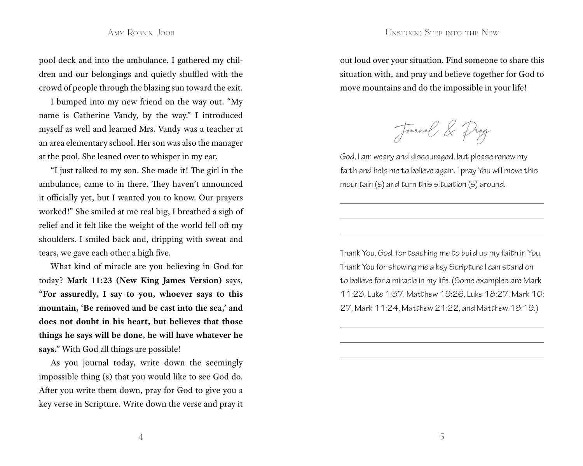pool deck and into the ambulance. I gathered my children and our belongings and quietly shuffled with the crowd of people through the blazing sun toward the exit.

I bumped into my new friend on the way out. "My name is Catherine Vandy, by the way." I introduced myself as well and learned Mrs. Vandy was a teacher at an area elementary school. Her son was also the manager at the pool. She leaned over to whisper in my ear.

"I just talked to my son. She made it! The girl in the ambulance, came to in there. They haven't announced it officially yet, but I wanted you to know. Our prayers worked!" She smiled at me real big, I breathed a sigh of relief and it felt like the weight of the world fell off my shoulders. I smiled back and, dripping with sweat and tears, we gave each other a high five.

What kind of miracle are you believing in God for today? **Mark 11:23 (New King James Version)** says, **"For assuredly, I say to you, whoever says to this mountain, 'Be removed and be cast into the sea,' and does not doubt in his heart, but believes that those things he says will be done, he will have whatever he says."** With God all things are possible!

As you journal today, write down the seemingly impossible thing (s) that you would like to see God do. After you write them down, pray for God to give you a key verse in Scripture. Write down the verse and pray it out loud over your situation. Find someone to share this situation with, and pray and believe together for God to move mountains and do the impossible in your life!

Journal & Pray

God, I am weary and discouraged, but please renew my faith and help me to believe again. I pray You will move this mountain (s) and turn this situation (s) around.

Thank You, God, for teaching me to build up my faith in You. Thank You for showing me a key Scripture I can stand on to believe for a miracle in my life. (Some examples are Mark 11:23, Luke 1:37, Matthew 19:26, Luke 18:27, Mark 10: 27, Mark 11:24, Matthew 21:22, and Matthew 18:19.)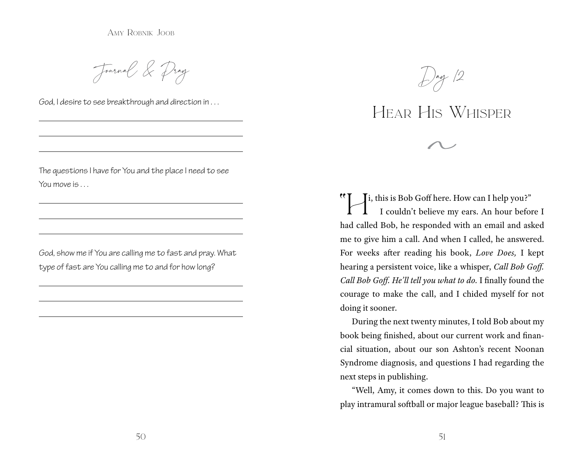Amy Robnik Joob

Journal & Pray

God, I desire to see breakthrough and direction in . . .

The questions I have for You and the place I need to see You move is . . .

God, show me if You are calling me to fast and pray. What type of fast are You calling me to and for how long?



## Hear His Whisper

"Hi, this is Bob Goff here. How can I help you?" I couldn't believe my ears. An hour before I had called Bob, he responded with an email and asked me to give him a call. And when I called, he answered. For weeks after reading his book, *Love Does,* I kept hearing a persistent voice, like a whisper, *Call Bob Goff. Call Bob Goff. He'll tell you what to do.* I finally found the courage to make the call, and I chided myself for not doing it sooner.

During the next twenty minutes, I told Bob about my book being finished, about our current work and financial situation, about our son Ashton's recent Noonan Syndrome diagnosis, and questions I had regarding the next steps in publishing.

"Well, Amy, it comes down to this. Do you want to play intramural softball or major league baseball? This is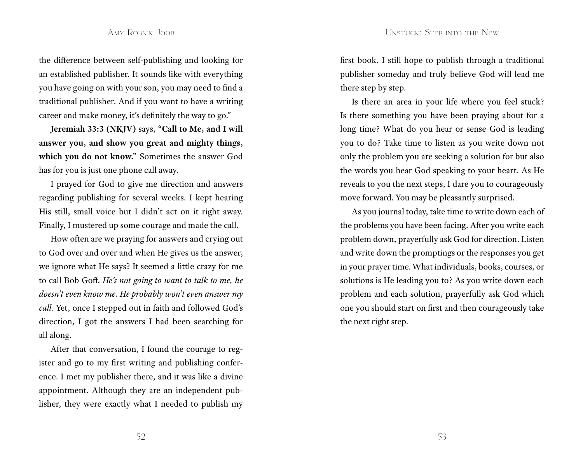the difference between self-publishing and looking for an established publisher. It sounds like with everything you have going on with your son, you may need to find a traditional publisher. And if you want to have a writing career and make money, it's definitely the way to go."

**Jeremiah 33:3 (NKJV)** says, **"Call to Me, and I will answer you, and show you great and mighty things, which you do not know."** Sometimes the answer God has for you is just one phone call away.

I prayed for God to give me direction and answers regarding publishing for several weeks. I kept hearing His still, small voice but I didn't act on it right away. Finally, I mustered up some courage and made the call.

How often are we praying for answers and crying out to God over and over and when He gives us the answer, we ignore what He says? It seemed a little crazy for me to call Bob Goff. *He's not going to want to talk to me, he doesn't even know me. He probably won't even answer my call.* Yet, once I stepped out in faith and followed God's direction, I got the answers I had been searching for all along.

After that conversation, I found the courage to register and go to my first writing and publishing conference. I met my publisher there, and it was like a divine appointment. Although they are an independent publisher, they were exactly what I needed to publish my first book. I still hope to publish through a traditional publisher someday and truly believe God will lead me there step by step.

Is there an area in your life where you feel stuck? Is there something you have been praying about for a long time? What do you hear or sense God is leading you to do? Take time to listen as you write down not only the problem you are seeking a solution for but also the words you hear God speaking to your heart. As He reveals to you the next steps, I dare you to courageously move forward. You may be pleasantly surprised.

As you journal today, take time to write down each of the problems you have been facing. After you write each problem down, prayerfully ask God for direction. Listen and write down the promptings or the responses you get in your prayer time. What individuals, books, courses, or solutions is He leading you to? As you write down each problem and each solution, prayerfully ask God which one you should start on first and then courageously take the next right step.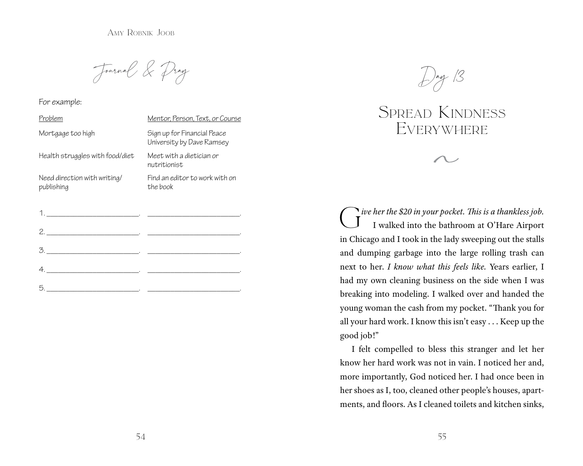Amy Robnik Joob

Journal & Pray

For example:

| Problem                                    | Mentor, Person, Text, or Course                          |
|--------------------------------------------|----------------------------------------------------------|
| Mortgage too high                          | Sign up for Financial Peace<br>University by Dave Ramsey |
| Health struggles with food/diet            | Meet with a dietician or<br>nutritionist                 |
| Need direction with writing/<br>publishing | Find an editor to work with on<br>the book               |

|                                                                                                                                                                                                                                                                                                                                                                                                                                                                                                                                          | <u> 1980 - Johann John Stone, markin amerikan bisa da</u>                       |
|------------------------------------------------------------------------------------------------------------------------------------------------------------------------------------------------------------------------------------------------------------------------------------------------------------------------------------------------------------------------------------------------------------------------------------------------------------------------------------------------------------------------------------------|---------------------------------------------------------------------------------|
| 2.                                                                                                                                                                                                                                                                                                                                                                                                                                                                                                                                       |                                                                                 |
| $\begin{minipage}{.4\linewidth} 3. \begin{tabular}{l} \hline \textbf{3.} \end{tabular} \end{minipage} \begin{minipage}{.4\linewidth} \begin{tabular}{l} \hline \textbf{4.} \end{tabular} \end{minipage} \end{minipage} \begin{minipage}{.4\linewidth} \begin{tabular}{l} \hline \textbf{5.} \end{tabular} \end{minipage} \begin{minipage}{.4\linewidth} \begin{tabular}{l} \hline \textbf{6.} \end{tabular} \end{minipage} \end{minipage} \begin{minipage}{.4\linewidth} \begin{tabular}{l} \hline \textbf{1.} \$                        |                                                                                 |
| $\begin{array}{c} \n4. \quad \textcolor{blue}{\overbrace{\text{2.22}}\textcolor{blue}{\overbrace{\text{2.33}}\textcolor{blue}{\overbrace{\text{2.43}}\textcolor{blue}{\overbrace{\text{2.53}}\textcolor{blue}{\overbrace{\text{2.63}}\textcolor{blue}{\overbrace{\text{2.63}}\textcolor{blue}{\overbrace{\text{2.63}}\textcolor{blue}{\overbrace{\text{2.63}}\textcolor{blue}{\overbrace{\text{2.63}}\textcolor{blue}{\overbrace{\text{2.63}}\textcolor{blue}{\overbrace{\text{2.63}}\textcolor{blue}{\overbrace{\text{2.63}}\textcolor$ |                                                                                 |
| $5.$                                                                                                                                                                                                                                                                                                                                                                                                                                                                                                                                     | the contract of the contract of the contract of the contract of the contract of |



### Spread Kindness **EVERYWHERE**

G*ive her the \$20 in your pocket. This is a thankless job.* I walked into the bathroom at O'Hare Airport in Chicago and I took in the lady sweeping out the stalls and dumping garbage into the large rolling trash can next to her. *I know what this feels like.* Years earlier, I had my own cleaning business on the side when I was breaking into modeling. I walked over and handed the young woman the cash from my pocket. "Thank you for all your hard work. I know this isn't easy . . . Keep up the good job!"

I felt compelled to bless this stranger and let her know her hard work was not in vain. I noticed her and, more importantly, God noticed her. I had once been in her shoes as I, too, cleaned other people's houses, apartments, and floors. As I cleaned toilets and kitchen sinks,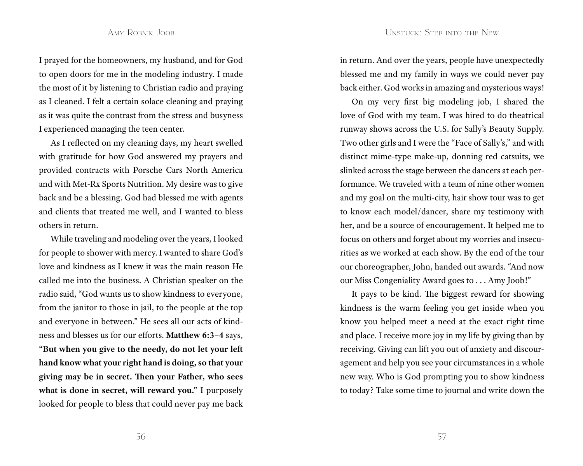I prayed for the homeowners, my husband, and for God to open doors for me in the modeling industry. I made the most of it by listening to Christian radio and praying as I cleaned. I felt a certain solace cleaning and praying as it was quite the contrast from the stress and busyness I experienced managing the teen center.

As I reflected on my cleaning days, my heart swelled with gratitude for how God answered my prayers and provided contracts with Porsche Cars North America and with Met-Rx Sports Nutrition. My desire was to give back and be a blessing. God had blessed me with agents and clients that treated me well, and I wanted to bless others in return.

While traveling and modeling over the years, I looked for people to shower with mercy. I wanted to share God's love and kindness as I knew it was the main reason He called me into the business. A Christian speaker on the radio said, "God wants us to show kindness to everyone, from the janitor to those in jail, to the people at the top and everyone in between." He sees all our acts of kindness and blesses us for our efforts. **Matthew 6:3–4** says, **"But when you give to the needy, do not let your left hand know what your right hand is doing, so that your giving may be in secret. Then your Father, who sees what is done in secret, will reward you."** I purposely looked for people to bless that could never pay me back in return. And over the years, people have unexpectedly blessed me and my family in ways we could never pay back either. God works in amazing and mysterious ways!

On my very first big modeling job, I shared the love of God with my team. I was hired to do theatrical runway shows across the U.S. for Sally's Beauty Supply. Two other girls and I were the "Face of Sally's," and with distinct mime-type make-up, donning red catsuits, we slinked across the stage between the dancers at each performance. We traveled with a team of nine other women and my goal on the multi-city, hair show tour was to get to know each model/dancer, share my testimony with her, and be a source of encouragement. It helped me to focus on others and forget about my worries and insecurities as we worked at each show. By the end of the tour our choreographer, John, handed out awards. "And now our Miss Congeniality Award goes to . . . Amy Joob!"

It pays to be kind. The biggest reward for showing kindness is the warm feeling you get inside when you know you helped meet a need at the exact right time and place. I receive more joy in my life by giving than by receiving. Giving can lift you out of anxiety and discouragement and help you see your circumstances in a whole new way. Who is God prompting you to show kindness to today? Take some time to journal and write down the